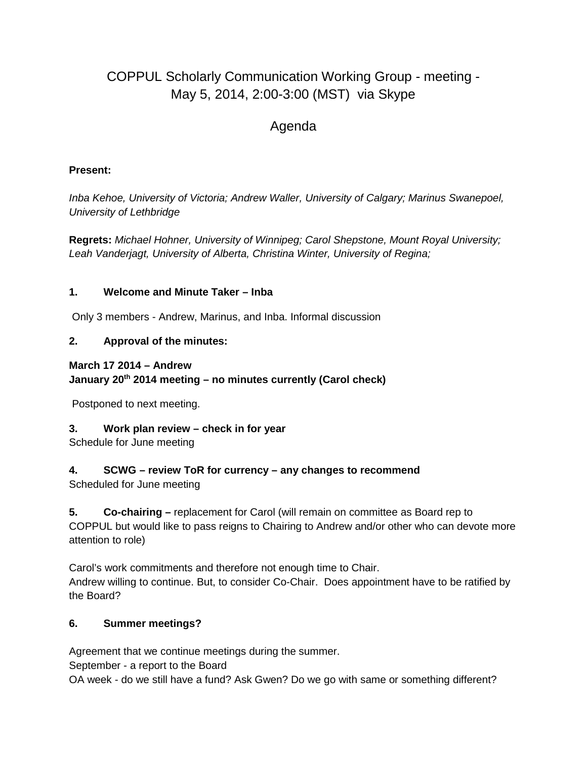# COPPUL Scholarly Communication Working Group - meeting - May 5, 2014, 2:00-3:00 (MST) via Skype

# Agenda

#### **Present:**

*Inba Kehoe, University of Victoria; Andrew Waller, University of Calgary; Marinus Swanepoel, University of Lethbridge*

**Regrets:** *Michael Hohner, University of Winnipeg; Carol Shepstone, Mount Royal University; Leah Vanderjagt, University of Alberta, Christina Winter, University of Regina;*

#### **1. Welcome and Minute Taker – Inba**

Only 3 members - Andrew, Marinus, and Inba. Informal discussion

#### **2. Approval of the minutes:**

#### **March 17 2014 – Andrew January 20th 2014 meeting – no minutes currently (Carol check)**

Postponed to next meeting.

# **3. Work plan review – check in for year**

Schedule for June meeting

# **4. SCWG – review ToR for currency – any changes to recommend**

Scheduled for June meeting

**5. Co-chairing –** replacement for Carol (will remain on committee as Board rep to COPPUL but would like to pass reigns to Chairing to Andrew and/or other who can devote more attention to role)

Carol's work commitments and therefore not enough time to Chair. Andrew willing to continue. But, to consider Co-Chair. Does appointment have to be ratified by the Board?

# **6. Summer meetings?**

Agreement that we continue meetings during the summer.

September - a report to the Board

OA week - do we still have a fund? Ask Gwen? Do we go with same or something different?